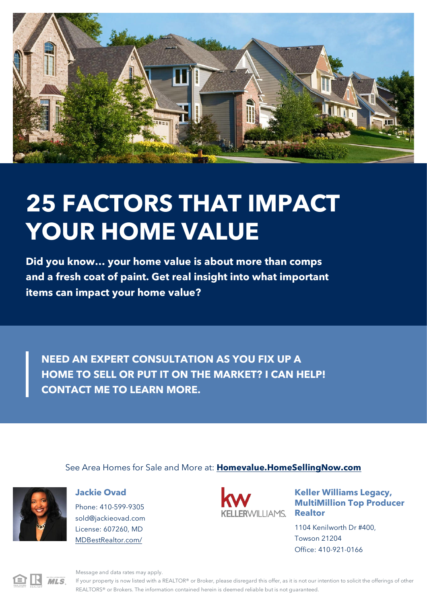

# **25 FACTORS THAT IMPACT YOUR HOME VALUE**

**Did you know… your home value is about more than comps and a fresh coat of paint. Get real insight into what important items can impact your home value?**

**NEED AN EXPERT CONSULTATION AS YOU FIX UP A HOME TO SELL OR PUT IT ON THE MARKET? I CAN HELP! CONTACT ME TO LEARN MORE.**

See Area Homes for Sale and More at: **[Homevalue.HomeSellingNow.com](http://Homevalue.HomeSellingNow.com/)**



### **Jackie Ovad**

Phone: 410-599-9305 [sold@jackieovad.com](mailto:sold@jackieovad.com) License: 607260, MD [MDBestRealtor.com/](http://MDBestRealtor.com/)



**Keller Williams Legacy, MultiMillion Top Producer**

1104 Kenilworth Dr #400, Towson 21204 Office: 410-921-0166



Message and data rates may apply.

If your property is now listed with a REALTOR® or Broker, please disregard this offer, as it is not our intention to solicit the offerings of other REALTORS® or Brokers. The information contained herein is deemed reliable but is not guaranteed.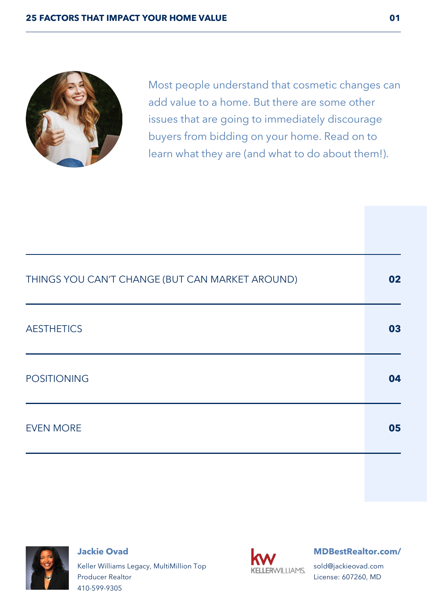

Most people understand that cosmetic changes can add value to a home. But there are some other issues that are going to immediately discourage buyers from bidding on your home. Read on to learn what they are (and what to do about them!).

| THINGS YOU CAN'T CHANGE (BUT CAN MARKET AROUND) | 02 |
|-------------------------------------------------|----|
| <b>AESTHETICS</b>                               | 03 |
| <b>POSITIONING</b>                              | 04 |
| <b>EVEN MORE</b>                                | 05 |



**Jackie Ovad** Keller Williams Legacy, MultiMillion Top Producer Realtor 410-599-9305



#### **[MDBestRealtor.com/](http://MDBestRealtor.com/)**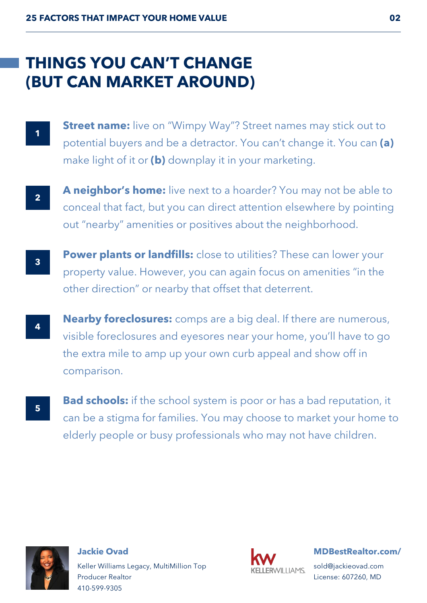# **(BUT CAN MARKET AROUND) THINGS YOU CAN'T CHANGE**

- **1**
- **Street name:** live on "Wimpy Way"? Street names may stick out to potential buyers and be a detractor. You can't change it. You can **(a)** make light of it or **(b)** downplay it in your marketing.
- 

**2 A neighbor's home:** live next to a hoarder? You may not be able to conceal that fact, but you can direct attention elsewhere by pointing out "nearby" amenities or positives about the neighborhood.

- **3 Power plants or landfills:** close to utilities? These can lower your property value. However, you can again focus on amenities "in the other direction" or nearby that offset that deterrent.
- **1 Nearby foreclosures:** comps are a big deal. If there are numerous, visible foreclosures and eyesores near your home, you'll have to go the extra mile to amp up your own curb appeal and show off in comparison.
	- **Bad schools:** if the school system is poor or has a bad reputation, it can be a stigma for families. You may choose to market your home to elderly people or busy professionals who may not have children.



**5**

**Jackie Ovad** Keller Williams Legacy, MultiMillion Top Producer Realtor 410-599-9305



**[MDBestRealtor.com/](http://MDBestRealtor.com/)**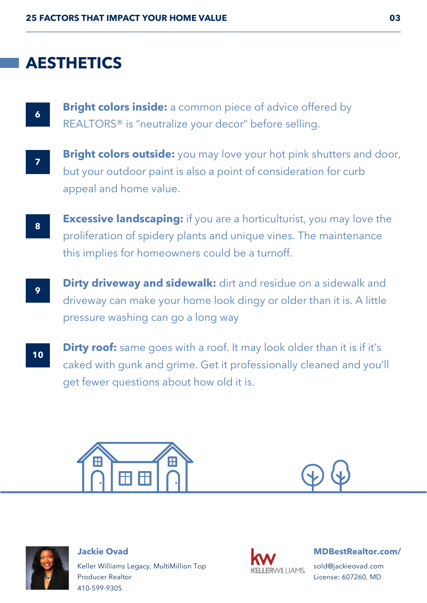### **AESTHETICS**

**6 Bright colors inside:** a common piece of advice offered by REALTORS® is "neutralize your decor" before selling.

**7 Bright colors outside:** you may love your hot pink shutters and door, but your outdoor paint is also a point of consideration for curb appeal and home value.

**Excessive landscaping:** if you are a horticulturist, you may love the proliferation of spidery plants and unique vines. The maintenance this implies for homeowners could be a turnoff.

- **Phirty driveway and sidewalk:** dirt and residue on a sidewalk and driveway can make your home look dingy or older than it is. A little pressure washing can go a long way
- **10 Dirty roof:** same goes with a roof. It may look older than it is if it's caked with gunk and grime. Get it professionally cleaned and you'll get fewer questions about how old it is.







**Jackie Ovad** Keller Williams Legacy, MultiMillion Top Producer Realtor 410-599-9305



### **[MDBestRealtor.com/](http://MDBestRealtor.com/)**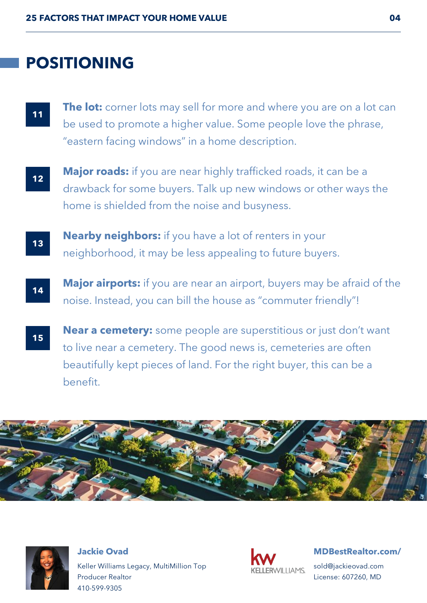## **POSITIONING**

- **11 The lot:** corner lots may sell for more and where you are on a lot can be used to promote a higher value. Some people love the phrase, "eastern facing windows" in a home description.
- **12 Major roads:** if you are near highly trafficked roads, it can be a drawback for some buyers. Talk up new windows or other ways the home is shielded from the noise and busyness.
- **13 Nearby neighbors:** if you have a lot of renters in your neighborhood, it may be less appealing to future buyers.
- **14** Major airports: if you are near an airport, buyers may be afraid of the noise. Instead, you can bill the house as "commuter friendly"!
- **15 Near a cemetery:** some people are superstitious or just don't want to live near a cemetery. The good news is, cemeteries are often beautifully kept pieces of land. For the right buyer, this can be a benefit.





**Jackie Ovad** Keller Williams Legacy, MultiMillion Top Producer Realtor 410-599-9305



### **[MDBestRealtor.com/](http://MDBestRealtor.com/)**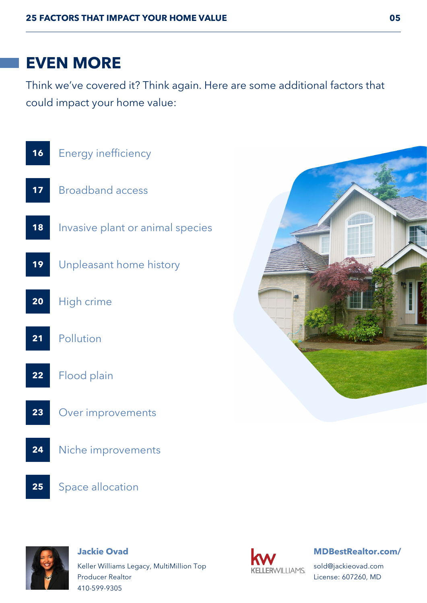## **EVEN MORE**

Think we've covered it? Think again. Here are some additional factors that could impact your home value:





#### **Jackie Ovad**

Keller Williams Legacy, MultiMillion Top Producer Realtor 410-599-9305



### **[MDBestRealtor.com/](http://MDBestRealtor.com/)**